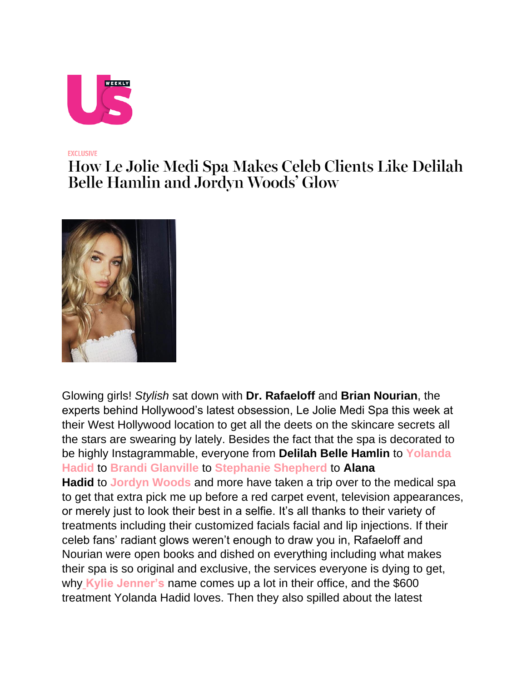

## **EXCLUSIVE**

## How Le Jolie Medi Spa Makes Celeb Clients Like Delilah **Belle Hamlin and Jordyn Woods' Glow**



Glowing girls! *Stylish* sat down with **Dr. Rafaeloff** and **Brian Nourian**, the experts behind Hollywood's latest obsession, Le Jolie Medi Spa this week at their West Hollywood location to get all the deets on the skincare secrets all the stars are swearing by lately. Besides the fact that the spa is decorated to be highly Instagrammable, everyone from **Delilah Belle Hamlin** to **[Yolanda](https://www.usmagazine.com/celebrities/yolanda-foster/)  [Hadid](https://www.usmagazine.com/celebrities/yolanda-foster/)** to **[Brandi Glanville](https://www.usmagazine.com/celebrities/brandi-glanville/)** to **[Stephanie Shepherd](https://www.usmagazine.com/celebrities/stephanie-shepherd/)** to **Alana Hadid** to **[Jordyn Woods](https://www.usmagazine.com/celebrities/jordyn-woods/)** and more have taken a trip over to the medical spa to get that extra pick me up before a red carpet event, television appearances, or merely just to look their best in a selfie. It's all thanks to their variety of treatments including their customized facials facial and lip injections. If their celeb fans' radiant glows weren't enough to draw you in, Rafaeloff and Nourian were open books and dished on everything including what makes their spa is so original and exclusive, the services everyone is dying to get, why **[Kylie Jenner's](https://www.usmagazine.com/celebrities/kylie-jenner/)** name comes up a lot in their office, and the \$600 treatment Yolanda Hadid loves. Then they also spilled about the latest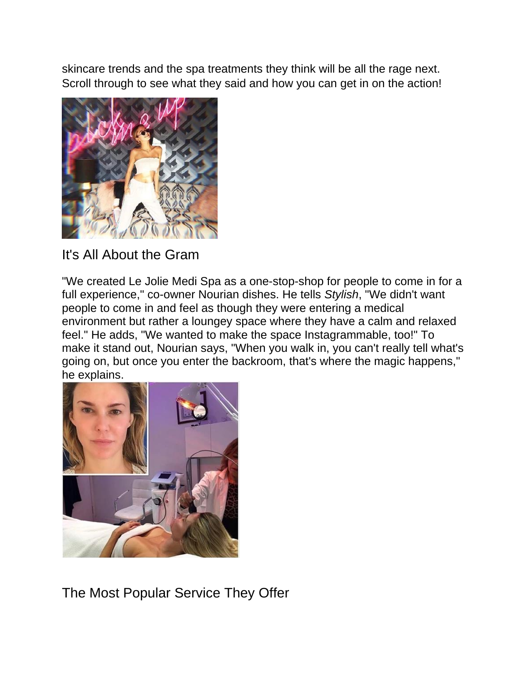skincare trends and the spa treatments they think will be all the rage next. Scroll through to see what they said and how you can get in on the action!



It's All About the Gram

"We created Le Jolie Medi Spa as a one-stop-shop for people to come in for a full experience," co-owner Nourian dishes. He tells *Stylish*, "We didn't want people to come in and feel as though they were entering a medical environment but rather a loungey space where they have a calm and relaxed feel." He adds, "We wanted to make the space Instagrammable, too!" To make it stand out, Nourian says, "When you walk in, you can't really tell what's going on, but once you enter the backroom, that's where the magic happens," he explains.



The Most Popular Service They Offer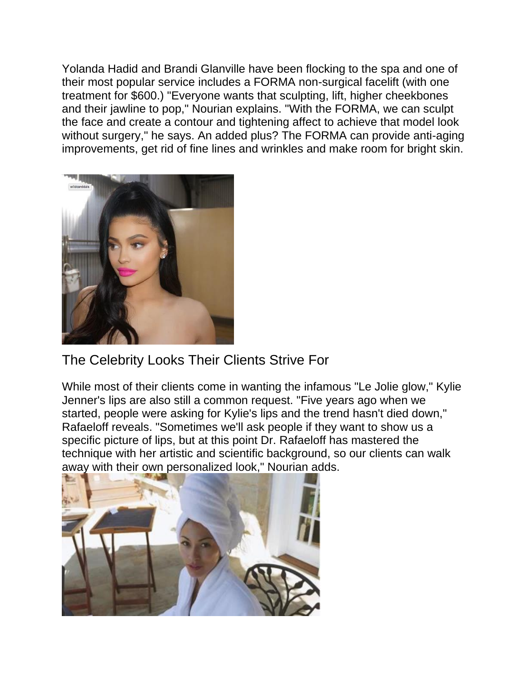Yolanda Hadid and Brandi Glanville have been flocking to the spa and one of their most popular service includes a FORMA non-surgical facelift (with one treatment for \$600.) "Everyone wants that sculpting, lift, higher cheekbones and their jawline to pop," Nourian explains. "With the FORMA, we can sculpt the face and create a contour and tightening affect to achieve that model look without surgery," he says. An added plus? The FORMA can provide anti-aging improvements, get rid of fine lines and wrinkles and make room for bright skin.



## The Celebrity Looks Their Clients Strive For

While most of their clients come in wanting the infamous "Le Jolie glow," Kylie Jenner's lips are also still a common request. "Five years ago when we started, people were asking for Kylie's lips and the trend hasn't died down," Rafaeloff reveals. "Sometimes we'll ask people if they want to show us a specific picture of lips, but at this point Dr. Rafaeloff has mastered the technique with her artistic and scientific background, so our clients can walk away with their own personalized look," Nourian adds.